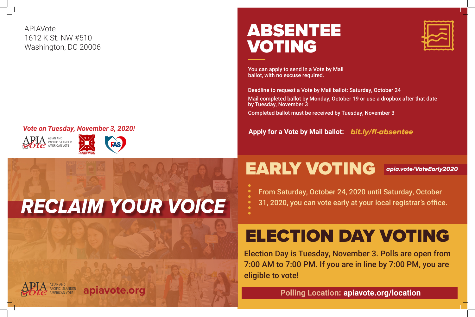## EARLY VOTING *apia.vote/VoteEarly2020*

- 
- 

## ELECTION DAY VOTING

 **Polling Location: apiavote.org/location**





## ABSENTEE VOTING

You can apply to send in a Vote by Mail ballot, with no excuse required.

Deadline to request a Vote by Mail ballot: Saturday, October 24 Mail completed ballot by Monday, October 19 or use a dropbox after that date by Tuesday, November 3

**Apply for a Vote by Mail ballot:** *bit.ly/fl-absentee*

Completed ballot must be received by Tuesday, November 3











#### *Vote on Tuesday, November 3, 2020!*

APIAVote 1612 K St. NW #510 Washington, DC 20006

# *RECLAIM YOUR VOICE*

From Saturday, October 24, 2020 until Saturday, October 31, 2020, you can vote early at your local registrar's office.

Election Day is Tuesday, November 3. Polls are open from 7:00 AM to 7:00 PM. If you are in line by 7:00 PM, you are eligible to vote!